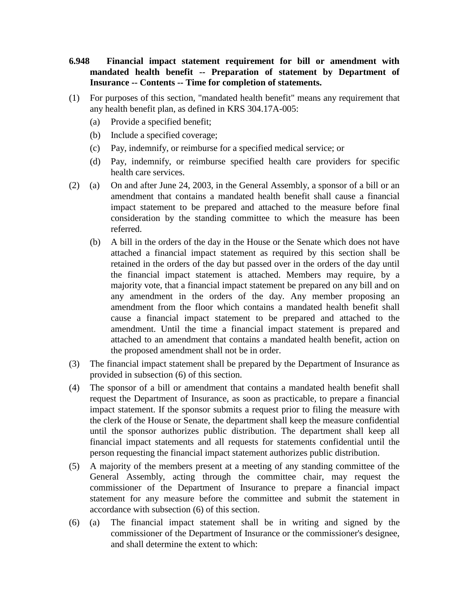- **6.948 Financial impact statement requirement for bill or amendment with mandated health benefit -- Preparation of statement by Department of Insurance -- Contents -- Time for completion of statements.**
- (1) For purposes of this section, "mandated health benefit" means any requirement that any health benefit plan, as defined in KRS 304.17A-005:
	- (a) Provide a specified benefit;
	- (b) Include a specified coverage;
	- (c) Pay, indemnify, or reimburse for a specified medical service; or
	- (d) Pay, indemnify, or reimburse specified health care providers for specific health care services.
- (2) (a) On and after June 24, 2003, in the General Assembly, a sponsor of a bill or an amendment that contains a mandated health benefit shall cause a financial impact statement to be prepared and attached to the measure before final consideration by the standing committee to which the measure has been referred.
	- (b) A bill in the orders of the day in the House or the Senate which does not have attached a financial impact statement as required by this section shall be retained in the orders of the day but passed over in the orders of the day until the financial impact statement is attached. Members may require, by a majority vote, that a financial impact statement be prepared on any bill and on any amendment in the orders of the day. Any member proposing an amendment from the floor which contains a mandated health benefit shall cause a financial impact statement to be prepared and attached to the amendment. Until the time a financial impact statement is prepared and attached to an amendment that contains a mandated health benefit, action on the proposed amendment shall not be in order.
- (3) The financial impact statement shall be prepared by the Department of Insurance as provided in subsection (6) of this section.
- (4) The sponsor of a bill or amendment that contains a mandated health benefit shall request the Department of Insurance, as soon as practicable, to prepare a financial impact statement. If the sponsor submits a request prior to filing the measure with the clerk of the House or Senate, the department shall keep the measure confidential until the sponsor authorizes public distribution. The department shall keep all financial impact statements and all requests for statements confidential until the person requesting the financial impact statement authorizes public distribution.
- (5) A majority of the members present at a meeting of any standing committee of the General Assembly, acting through the committee chair, may request the commissioner of the Department of Insurance to prepare a financial impact statement for any measure before the committee and submit the statement in accordance with subsection (6) of this section.
- (6) (a) The financial impact statement shall be in writing and signed by the commissioner of the Department of Insurance or the commissioner's designee, and shall determine the extent to which: